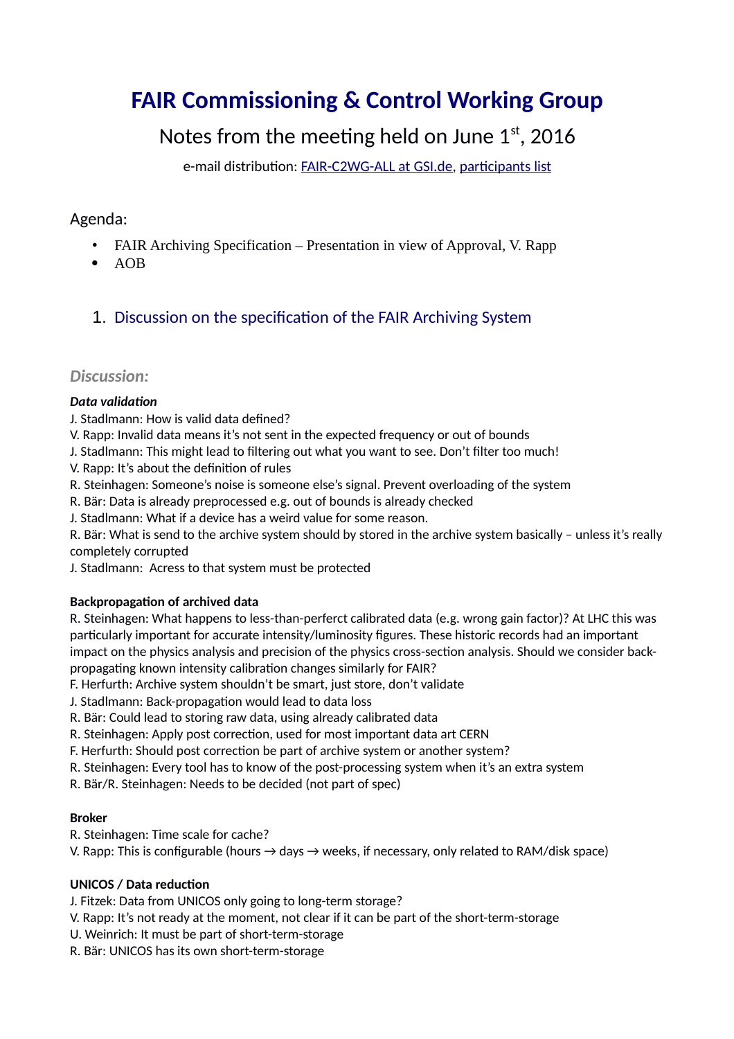# **FAIR Commissioning & Control Working Group**

# Notes from the meeting held on June  $1<sup>st</sup>$ , 2016

e-mail distribution: [FAIR-C2WG-ALL at GSI.de,](mailto:FAIR-C2WG-ALL%20(at)%20GSI%20(punkt)%20de) [participants list](https://fair-wiki.gsi.de/foswiki/pub/FC2WG/FairC2WGMinutes/20160601_FC2WG_AttendanceList.pdf)

# Agenda:

- FAIR Archiving Specification Presentation in view of Approval, V. Rapp
- AOB
- 1. Discussion on the specification of the FAIR Archiving System

# *Discussion:*

#### *Data validation*

J. Stadlmann: How is valid data defined?

- V. Rapp: Invalid data means it's not sent in the expected frequency or out of bounds
- J. Stadlmann: This might lead to filtering out what you want to see. Don't filter too much!
- V. Rapp: It's about the definition of rules
- R. Steinhagen: Someone's noise is someone else's signal. Prevent overloading of the system
- R. Bär: Data is already preprocessed e.g. out of bounds is already checked
- J. Stadlmann: What if a device has a weird value for some reason.

R. Bär: What is send to the archive system should by stored in the archive system basically – unless it's really completely corrupted

J. Stadlmann: Acress to that system must be protected

## **Backpropagation of archived data**

R. Steinhagen: What happens to less-than-perferct calibrated data (e.g. wrong gain factor)? At LHC this was particularly important for accurate intensity/luminosity figures. These historic records had an important impact on the physics analysis and precision of the physics cross-section analysis. Should we consider backpropagating known intensity calibration changes similarly for FAIR?

F. Herfurth: Archive system shouldn't be smart, just store, don't validate

- J. Stadlmann: Back-propagation would lead to data loss
- R. Bär: Could lead to storing raw data, using already calibrated data
- R. Steinhagen: Apply post correction, used for most important data art CERN
- F. Herfurth: Should post correction be part of archive system or another system?
- R. Steinhagen: Every tool has to know of the post-processing system when it's an extra system
- R. Bär/R. Steinhagen: Needs to be decided (not part of spec)

#### **Broker**

- R. Steinhagen: Time scale for cache?
- V. Rapp: This is configurable (hours  $\rightarrow$  days  $\rightarrow$  weeks, if necessary, only related to RAM/disk space)

## **UNICOS / Data reduction**

- J. Fitzek: Data from UNICOS only going to long-term storage?
- V. Rapp: It's not ready at the moment, not clear if it can be part of the short-term-storage
- U. Weinrich: It must be part of short-term-storage
- R. Bär: UNICOS has its own short-term-storage